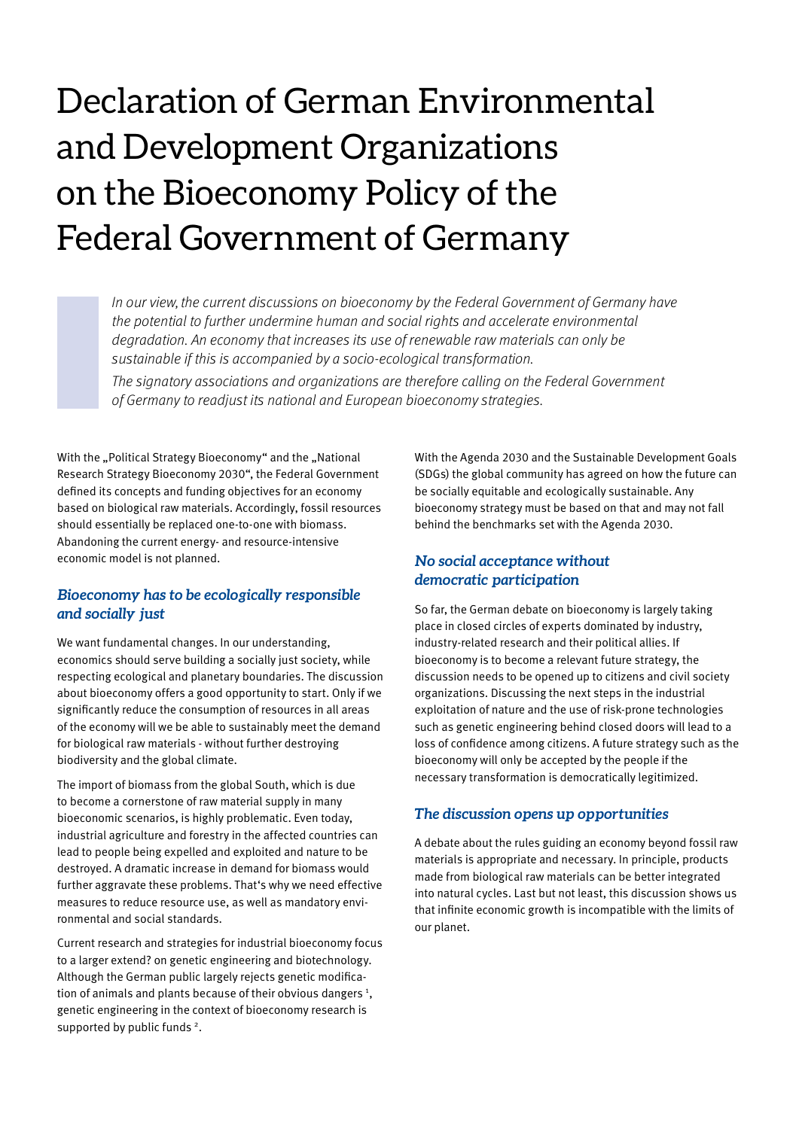# Declaration of German Environmental and Development Organizations on the Bioeconomy Policy of the Federal Government of Germany

In our view, the current discussions on bioeconomy by the Federal Government of Germany have the potential to further undermine human and social rights and accelerate environmental degradation. An economy that increases its use of renewable raw materials can only be sustainable if this is accompanied by a socio-ecological transformation. The signatory associations and organizations are therefore calling on the Federal Government of Germany to readjust its national and European bioeconomy strategies.

With the "Political Strategy Bioeconomy" and the "National Research Strategy Bioeconomy 2030", the Federal Government defined its concepts and funding objectives for an economy based on biological raw materials. Accordingly, fossil resources should essentially be replaced one-to-one with biomass. Abandoning the current energy- and resource-intensive economic model is not planned.

#### *Bioeconomy has to be ecologically responsible and socially just*

We want fundamental changes. In our understanding, economics should serve building a socially just society, while respecting ecological and planetary boundaries. The discussion about bioeconomy offers a good opportunity to start. Only if we significantly reduce the consumption of resources in all areas of the economy will we be able to sustainably meet the demand for biological raw materials - without further destroying biodiversity and the global climate.

The import of biomass from the global South, which is due to become a cornerstone of raw material supply in many bioeconomic scenarios, is highly problematic. Even today, industrial agriculture and forestry in the affected countries can lead to people being expelled and exploited and nature to be destroyed. A dramatic increase in demand for biomass would further aggravate these problems. That's why we need effective measures to reduce resource use, as well as mandatory environmental and social standards.

Current research and strategies for industrial bioeconomy focus to a larger extend? on genetic engineering and biotechnology. Although the German public largely rejects genetic modification of animals and plants because of their obvious dangers<sup>1</sup>, genetic engineering in the context of bioeconomy research is supported by public funds<sup>2</sup>.

With the Agenda 2030 and the Sustainable Development Goals (SDGs) the global community has agreed on how the future can be socially equitable and ecologically sustainable. Any bioeconomy strategy must be based on that and may not fall behind the benchmarks set with the Agenda 2030.

#### *No social acceptance without democratic participation*

So far, the German debate on bioeconomy is largely taking place in closed circles of experts dominated by industry, industry-related research and their political allies. If bioeconomy is to become a relevant future strategy, the discussion needs to be opened up to citizens and civil society organizations. Discussing the next steps in the industrial exploitation of nature and the use of risk-prone technologies such as genetic engineering behind closed doors will lead to a loss of confidence among citizens. A future strategy such as the bioeconomy will only be accepted by the people if the necessary transformation is democratically legitimized.

#### *The discussion opens up opportunities*

A debate about the rules guiding an economy beyond fossil raw materials is appropriate and necessary. In principle, products made from biological raw materials can be better integrated into natural cycles. Last but not least, this discussion shows us that infinite economic growth is incompatible with the limits of our planet.